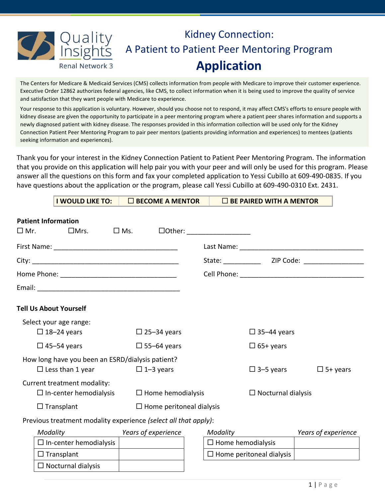

## Kidney Connection: A Patient to Patient Peer Mentoring Program **Application**

The Centers for Medicare & Medicaid Services (CMS) collects information from people with Medicare to improve their customer experience. Executive Order 12862 authorizes federal agencies, like CMS, to collect information when it is being used to improve the quality of service and satisfaction that they want people with Medicare to experience.

Your response to this application is voluntary. However, should you choose not to respond, it may affect CMS's efforts to ensure people with kidney disease are given the opportunity to participate in a peer mentoring program where a patient peer shares information and supports a newly diagnosed patient with kidney disease. The responses provided in this information collection will be used only for the Kidney Connection Patient Peer Mentoring Program to pair peer mentors (patients providing information and experiences) to mentees (patients seeking information and experiences).

Thank you for your interest in the Kidney Connection Patient to Patient Peer Mentoring Program. The information that you provide on this application will help pair you with your peer and will only be used for this program. Please answer all the questions on this form and fax your completed application to Yessi Cubillo at 609-490-0835. If you have questions about the application or the program, please call Yessi Cubillo at 609-490-0310 Ext. 2431.

|                                                        | I WOULD LIKE TO:                                                | $\square$ BECOME A MENTOR |                                 | $\Box$ BE PAIRED WITH A MENTOR  |                     |
|--------------------------------------------------------|-----------------------------------------------------------------|---------------------------|---------------------------------|---------------------------------|---------------------|
|                                                        | <b>Patient Information</b>                                      |                           |                                 |                                 |                     |
|                                                        |                                                                 |                           |                                 |                                 |                     |
|                                                        |                                                                 |                           |                                 |                                 |                     |
|                                                        |                                                                 |                           |                                 |                                 |                     |
|                                                        |                                                                 |                           |                                 |                                 |                     |
|                                                        |                                                                 |                           |                                 |                                 |                     |
|                                                        | <b>Tell Us About Yourself</b>                                   |                           |                                 |                                 |                     |
|                                                        | Select your age range:                                          |                           |                                 |                                 |                     |
|                                                        | $\Box$ 18-24 years                                              | $\Box$ 25-34 years        |                                 | $\Box$ 35-44 years              |                     |
|                                                        | $\Box$ 45-54 years                                              | $\Box$ 55-64 years        |                                 | $\Box$ 65+ years                |                     |
|                                                        | How long have you been an ESRD/dialysis patient?                |                           |                                 |                                 |                     |
|                                                        | $\Box$ Less than 1 year                                         | $\Box$ 1-3 years          |                                 | $\Box$ 3-5 years                | $\Box$ 5+ years     |
|                                                        | Current treatment modality:                                     |                           |                                 |                                 |                     |
| $\Box$ In-center hemodialysis $\Box$ Home hemodialysis |                                                                 |                           |                                 | $\Box$ Nocturnal dialysis       |                     |
|                                                        | $\Box$ Transplant                                               |                           | $\Box$ Home peritoneal dialysis |                                 |                     |
|                                                        | Previous treatment modality experience (select all that apply): |                           |                                 |                                 |                     |
|                                                        | Modality                                                        | Years of experience       | Modality                        |                                 | Years of experience |
|                                                        | $\Box$ In-center hemodialysis                                   |                           | $\Box$ Home hemodialysis        |                                 |                     |
|                                                        | $\Box$ Transplant                                               |                           |                                 | $\Box$ Home peritoneal dialysis |                     |
|                                                        | $\Box$ Nocturnal dialysis                                       |                           |                                 |                                 |                     |